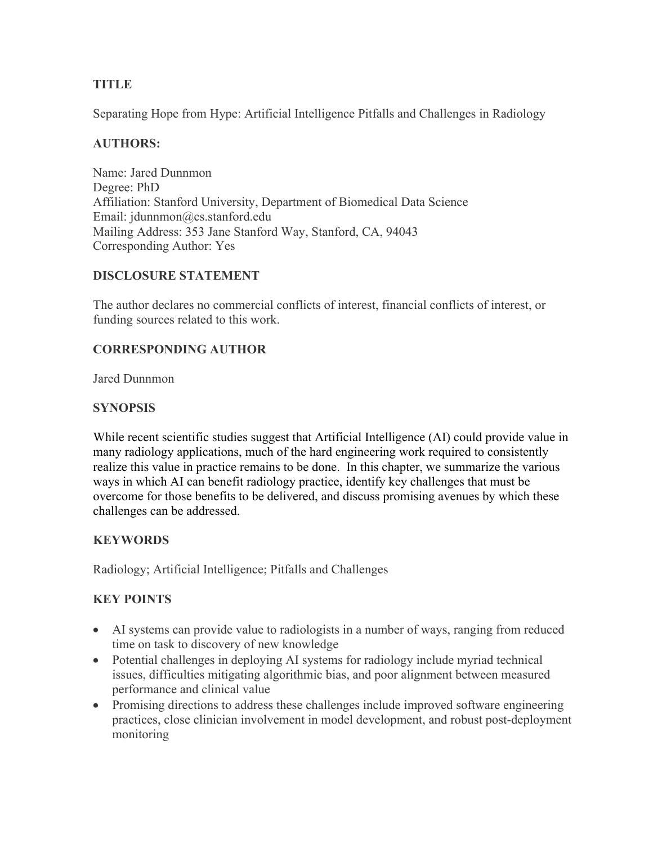# **TITLE**

Separating Hope from Hype: Artificial Intelligence Pitfalls and Challenges in Radiology

# **AUTHORS:**

Name: Jared Dunnmon Degree: PhD Affiliation: Stanford University, Department of Biomedical Data Science Email: jdunnmon@cs.stanford.edu Mailing Address: 353 Jane Stanford Way, Stanford, CA, 94043 Corresponding Author: Yes

# **DISCLOSURE STATEMENT**

The author declares no commercial conflicts of interest, financial conflicts of interest, or funding sources related to this work.

## **CORRESPONDING AUTHOR**

Jared Dunnmon

## **SYNOPSIS**

While recent scientific studies suggest that Artificial Intelligence (AI) could provide value in many radiology applications, much of the hard engineering work required to consistently realize this value in practice remains to be done. In this chapter, we summarize the various ways in which AI can benefit radiology practice, identify key challenges that must be overcome for those benefits to be delivered, and discuss promising avenues by which these challenges can be addressed.

## **KEYWORDS**

Radiology; Artificial Intelligence; Pitfalls and Challenges

# **KEY POINTS**

- AI systems can provide value to radiologists in a number of ways, ranging from reduced time on task to discovery of new knowledge
- Potential challenges in deploying AI systems for radiology include myriad technical issues, difficulties mitigating algorithmic bias, and poor alignment between measured performance and clinical value
- Promising directions to address these challenges include improved software engineering practices, close clinician involvement in model development, and robust post-deployment monitoring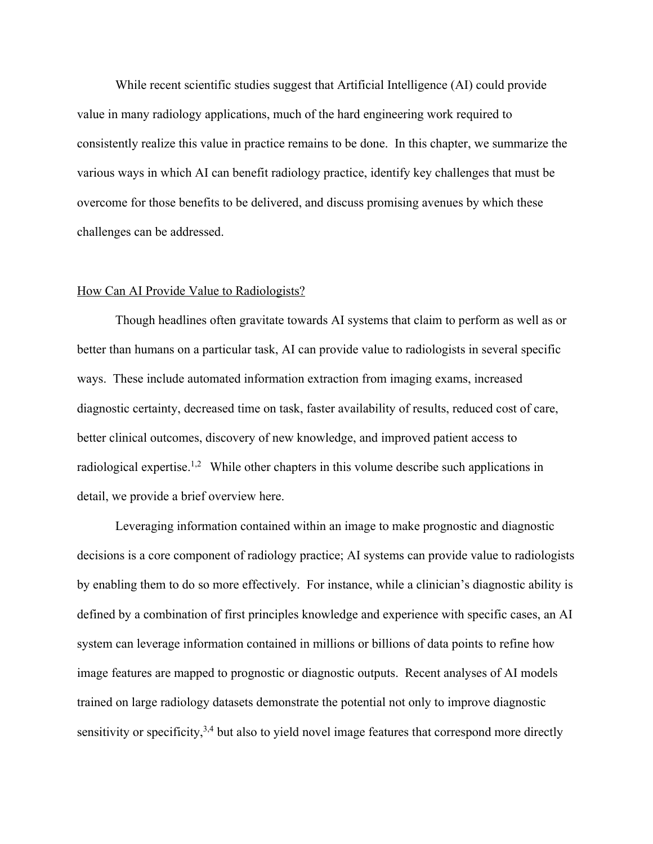While recent scientific studies suggest that Artificial Intelligence (AI) could provide value in many radiology applications, much of the hard engineering work required to consistently realize this value in practice remains to be done. In this chapter, we summarize the various ways in which AI can benefit radiology practice, identify key challenges that must be overcome for those benefits to be delivered, and discuss promising avenues by which these challenges can be addressed.

#### How Can AI Provide Value to Radiologists?

Though headlines often gravitate towards AI systems that claim to perform as well as or better than humans on a particular task, AI can provide value to radiologists in several specific ways. These include automated information extraction from imaging exams, increased diagnostic certainty, decreased time on task, faster availability of results, reduced cost of care, better clinical outcomes, discovery of new knowledge, and improved patient access to radiological expertise.<sup>1,2</sup> While other chapters in this volume describe such applications in detail, we provide a brief overview here.

Leveraging information contained within an image to make prognostic and diagnostic decisions is a core component of radiology practice; AI systems can provide value to radiologists by enabling them to do so more effectively. For instance, while a clinician's diagnostic ability is defined by a combination of first principles knowledge and experience with specific cases, an AI system can leverage information contained in millions or billions of data points to refine how image features are mapped to prognostic or diagnostic outputs. Recent analyses of AI models trained on large radiology datasets demonstrate the potential not only to improve diagnostic sensitivity or specificity, $3,4$  but also to yield novel image features that correspond more directly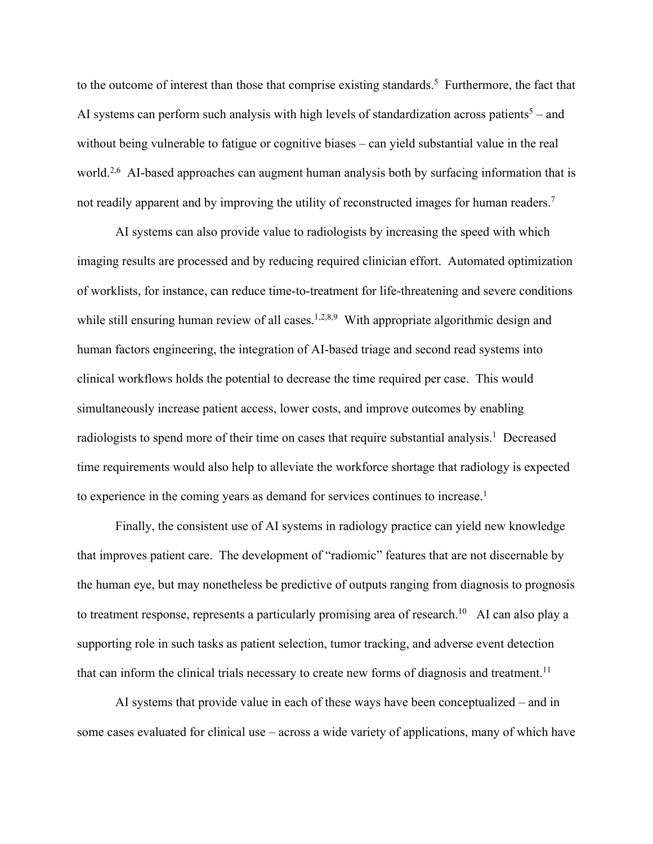to the outcome of interest than those that comprise existing standards.<sup>5</sup> Furthermore, the fact that AI systems can perform such analysis with high levels of standardization across patients<sup>5</sup> – and without being vulnerable to fatigue or cognitive biases – can yield substantial value in the real world.<sup>2,6</sup> AI-based approaches can augment human analysis both by surfacing information that is not readily apparent and by improving the utility of reconstructed images for human readers.<sup>7</sup>

AI systems can also provide value to radiologists by increasing the speed with which imaging results are processed and by reducing required clinician effort. Automated optimization of worklists, for instance, can reduce time-to-treatment for life-threatening and severe conditions while still ensuring human review of all cases.<sup>1,2,8,9</sup> With appropriate algorithmic design and human factors engineering, the integration of AI-based triage and second read systems into clinical workflows holds the potential to decrease the time required per case. This would simultaneously increase patient access, lower costs, and improve outcomes by enabling radiologists to spend more of their time on cases that require substantial analysis.<sup>1</sup> Decreased time requirements would also help to alleviate the workforce shortage that radiology is expected to experience in the coming years as demand for services continues to increase.<sup>1</sup>

Finally, the consistent use of AI systems in radiology practice can yield new knowledge that improves patient care. The development of "radiomic" features that are not discernable by the human eye, but may nonetheless be predictive of outputs ranging from diagnosis to prognosis to treatment response, represents a particularly promising area of research.<sup>10</sup> AI can also play a supporting role in such tasks as patient selection, tumor tracking, and adverse event detection that can inform the clinical trials necessary to create new forms of diagnosis and treatment.<sup>11</sup>

AI systems that provide value in each of these ways have been conceptualized – and in some cases evaluated for clinical use – across a wide variety of applications, many of which have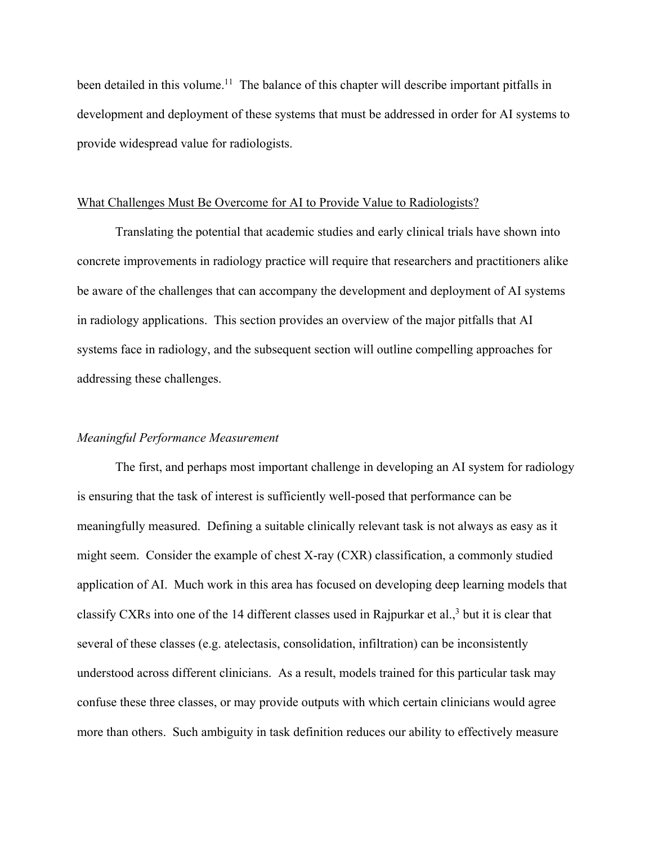been detailed in this volume.<sup>11</sup> The balance of this chapter will describe important pitfalls in development and deployment of these systems that must be addressed in order for AI systems to provide widespread value for radiologists.

#### What Challenges Must Be Overcome for AI to Provide Value to Radiologists?

Translating the potential that academic studies and early clinical trials have shown into concrete improvements in radiology practice will require that researchers and practitioners alike be aware of the challenges that can accompany the development and deployment of AI systems in radiology applications. This section provides an overview of the major pitfalls that AI systems face in radiology, and the subsequent section will outline compelling approaches for addressing these challenges.

#### *Meaningful Performance Measurement*

The first, and perhaps most important challenge in developing an AI system for radiology is ensuring that the task of interest is sufficiently well-posed that performance can be meaningfully measured. Defining a suitable clinically relevant task is not always as easy as it might seem. Consider the example of chest X-ray (CXR) classification, a commonly studied application of AI. Much work in this area has focused on developing deep learning models that classify CXRs into one of the 14 different classes used in Rajpurkar et al., <sup>3</sup> but it is clear that several of these classes (e.g. atelectasis, consolidation, infiltration) can be inconsistently understood across different clinicians. As a result, models trained for this particular task may confuse these three classes, or may provide outputs with which certain clinicians would agree more than others. Such ambiguity in task definition reduces our ability to effectively measure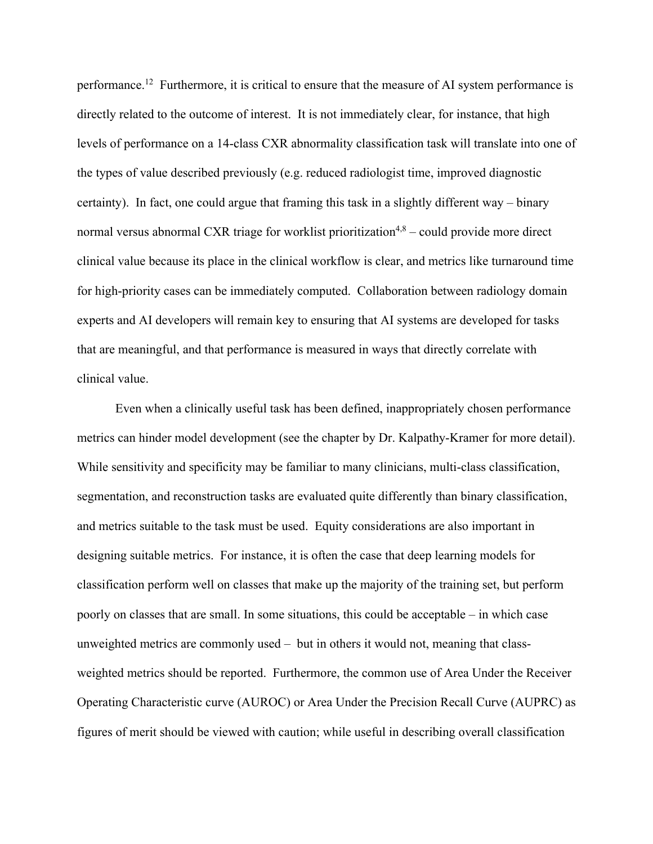performance.<sup>12</sup> Furthermore, it is critical to ensure that the measure of AI system performance is directly related to the outcome of interest. It is not immediately clear, for instance, that high levels of performance on a 14-class CXR abnormality classification task will translate into one of the types of value described previously (e.g. reduced radiologist time, improved diagnostic certainty). In fact, one could argue that framing this task in a slightly different way – binary normal versus abnormal CXR triage for worklist prioritization<sup>4,8</sup> – could provide more direct clinical value because its place in the clinical workflow is clear, and metrics like turnaround time for high-priority cases can be immediately computed. Collaboration between radiology domain experts and AI developers will remain key to ensuring that AI systems are developed for tasks that are meaningful, and that performance is measured in ways that directly correlate with clinical value.

Even when a clinically useful task has been defined, inappropriately chosen performance metrics can hinder model development (see the chapter by Dr. Kalpathy-Kramer for more detail). While sensitivity and specificity may be familiar to many clinicians, multi-class classification, segmentation, and reconstruction tasks are evaluated quite differently than binary classification, and metrics suitable to the task must be used. Equity considerations are also important in designing suitable metrics. For instance, it is often the case that deep learning models for classification perform well on classes that make up the majority of the training set, but perform poorly on classes that are small. In some situations, this could be acceptable – in which case unweighted metrics are commonly used – but in others it would not, meaning that classweighted metrics should be reported. Furthermore, the common use of Area Under the Receiver Operating Characteristic curve (AUROC) or Area Under the Precision Recall Curve (AUPRC) as figures of merit should be viewed with caution; while useful in describing overall classification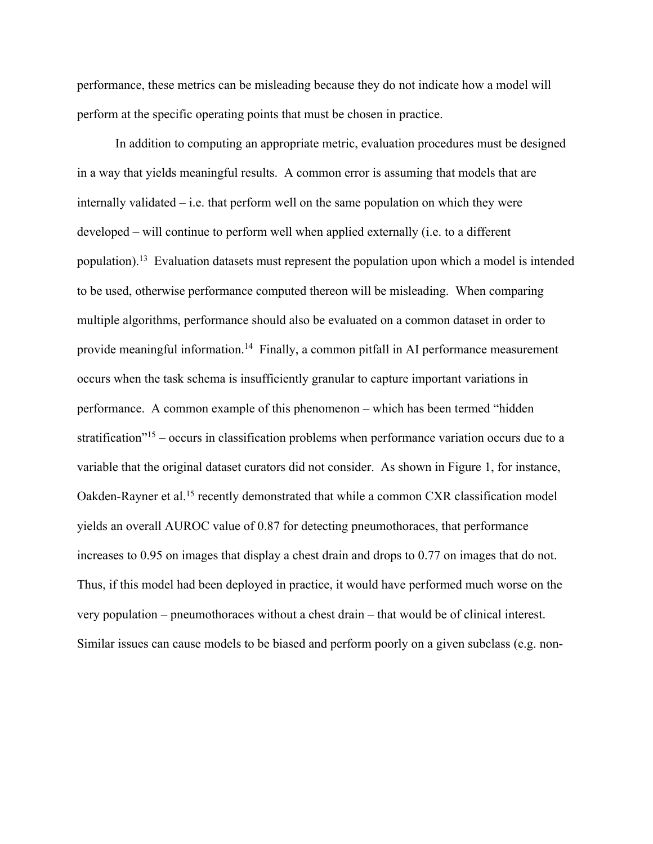performance, these metrics can be misleading because they do not indicate how a model will perform at the specific operating points that must be chosen in practice.

In addition to computing an appropriate metric, evaluation procedures must be designed in a way that yields meaningful results. A common error is assuming that models that are internally validated – i.e. that perform well on the same population on which they were developed – will continue to perform well when applied externally (i.e. to a different population).13 Evaluation datasets must represent the population upon which a model is intended to be used, otherwise performance computed thereon will be misleading. When comparing multiple algorithms, performance should also be evaluated on a common dataset in order to provide meaningful information.<sup>14</sup> Finally, a common pitfall in AI performance measurement occurs when the task schema is insufficiently granular to capture important variations in performance. A common example of this phenomenon – which has been termed "hidden stratification"15 – occurs in classification problems when performance variation occurs due to a variable that the original dataset curators did not consider. As shown in Figure 1, for instance, Oakden-Rayner et al.<sup>15</sup> recently demonstrated that while a common CXR classification model yields an overall AUROC value of 0.87 for detecting pneumothoraces, that performance increases to 0.95 on images that display a chest drain and drops to 0.77 on images that do not. Thus, if this model had been deployed in practice, it would have performed much worse on the very population – pneumothoraces without a chest drain – that would be of clinical interest. Similar issues can cause models to be biased and perform poorly on a given subclass (e.g. non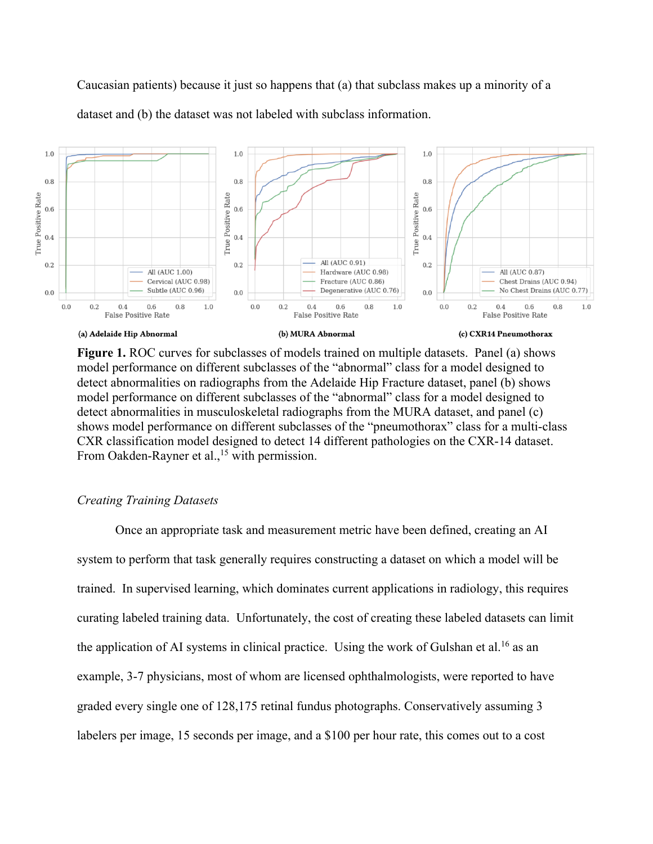Caucasian patients) because it just so happens that (a) that subclass makes up a minority of a dataset and (b) the dataset was not labeled with subclass information.



Figure 1. ROC curves for subclasses of models trained on multiple datasets. Panel (a) shows model performance on different subclasses of the "abnormal" class for a model designed to detect abnormalities on radiographs from the Adelaide Hip Fracture dataset, panel (b) shows model performance on different subclasses of the "abnormal" class for a model designed to detect abnormalities in musculoskeletal radiographs from the MURA dataset, and panel (c) shows model performance on different subclasses of the "pneumothorax" class for a multi-class CXR classification model designed to detect 14 different pathologies on the CXR-14 dataset. From Oakden-Rayner et al.,<sup>15</sup> with permission.

### *Creating Training Datasets*

Once an appropriate task and measurement metric have been defined, creating an AI system to perform that task generally requires constructing a dataset on which a model will be trained. In supervised learning, which dominates current applications in radiology, this requires curating labeled training data. Unfortunately, the cost of creating these labeled datasets can limit the application of AI systems in clinical practice. Using the work of Gulshan et al.<sup>16</sup> as an example, 3-7 physicians, most of whom are licensed ophthalmologists, were reported to have graded every single one of 128,175 retinal fundus photographs. Conservatively assuming 3 labelers per image, 15 seconds per image, and a \$100 per hour rate, this comes out to a cost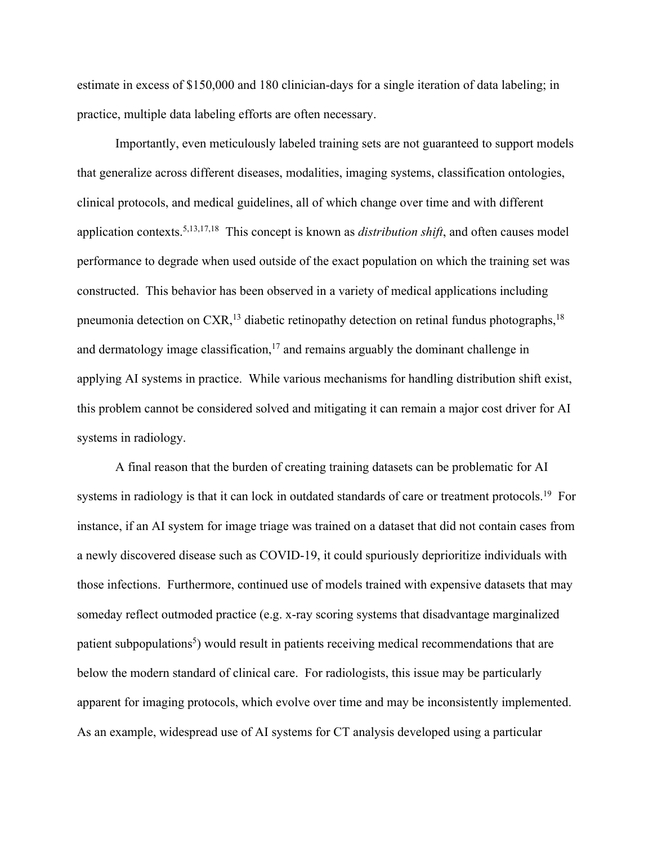estimate in excess of \$150,000 and 180 clinician-days for a single iteration of data labeling; in practice, multiple data labeling efforts are often necessary.

Importantly, even meticulously labeled training sets are not guaranteed to support models that generalize across different diseases, modalities, imaging systems, classification ontologies, clinical protocols, and medical guidelines, all of which change over time and with different application contexts.5,13,17,18 This concept is known as *distribution shift*, and often causes model performance to degrade when used outside of the exact population on which the training set was constructed. This behavior has been observed in a variety of medical applications including pneumonia detection on  $CXR$ ,<sup>13</sup> diabetic retinopathy detection on retinal fundus photographs,<sup>18</sup> and dermatology image classification, $17$  and remains arguably the dominant challenge in applying AI systems in practice. While various mechanisms for handling distribution shift exist, this problem cannot be considered solved and mitigating it can remain a major cost driver for AI systems in radiology.

A final reason that the burden of creating training datasets can be problematic for AI systems in radiology is that it can lock in outdated standards of care or treatment protocols.<sup>19</sup> For instance, if an AI system for image triage was trained on a dataset that did not contain cases from a newly discovered disease such as COVID-19, it could spuriously deprioritize individuals with those infections. Furthermore, continued use of models trained with expensive datasets that may someday reflect outmoded practice (e.g. x-ray scoring systems that disadvantage marginalized patient subpopulations<sup>5</sup>) would result in patients receiving medical recommendations that are below the modern standard of clinical care. For radiologists, this issue may be particularly apparent for imaging protocols, which evolve over time and may be inconsistently implemented. As an example, widespread use of AI systems for CT analysis developed using a particular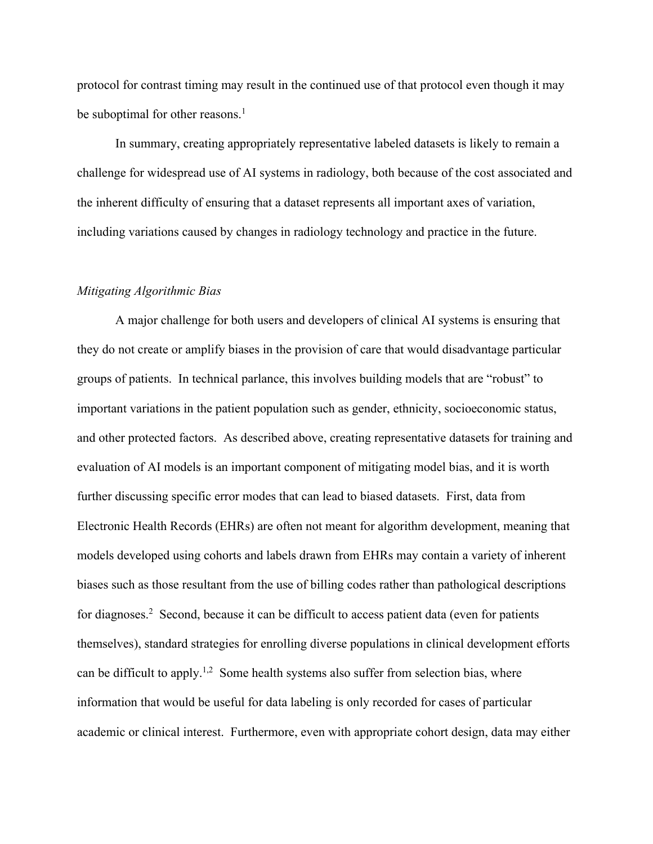protocol for contrast timing may result in the continued use of that protocol even though it may be suboptimal for other reasons.<sup>1</sup>

In summary, creating appropriately representative labeled datasets is likely to remain a challenge for widespread use of AI systems in radiology, both because of the cost associated and the inherent difficulty of ensuring that a dataset represents all important axes of variation, including variations caused by changes in radiology technology and practice in the future.

### *Mitigating Algorithmic Bias*

A major challenge for both users and developers of clinical AI systems is ensuring that they do not create or amplify biases in the provision of care that would disadvantage particular groups of patients. In technical parlance, this involves building models that are "robust" to important variations in the patient population such as gender, ethnicity, socioeconomic status, and other protected factors. As described above, creating representative datasets for training and evaluation of AI models is an important component of mitigating model bias, and it is worth further discussing specific error modes that can lead to biased datasets. First, data from Electronic Health Records (EHRs) are often not meant for algorithm development, meaning that models developed using cohorts and labels drawn from EHRs may contain a variety of inherent biases such as those resultant from the use of billing codes rather than pathological descriptions for diagnoses.<sup>2</sup> Second, because it can be difficult to access patient data (even for patients themselves), standard strategies for enrolling diverse populations in clinical development efforts can be difficult to apply.<sup>1,2</sup> Some health systems also suffer from selection bias, where information that would be useful for data labeling is only recorded for cases of particular academic or clinical interest. Furthermore, even with appropriate cohort design, data may either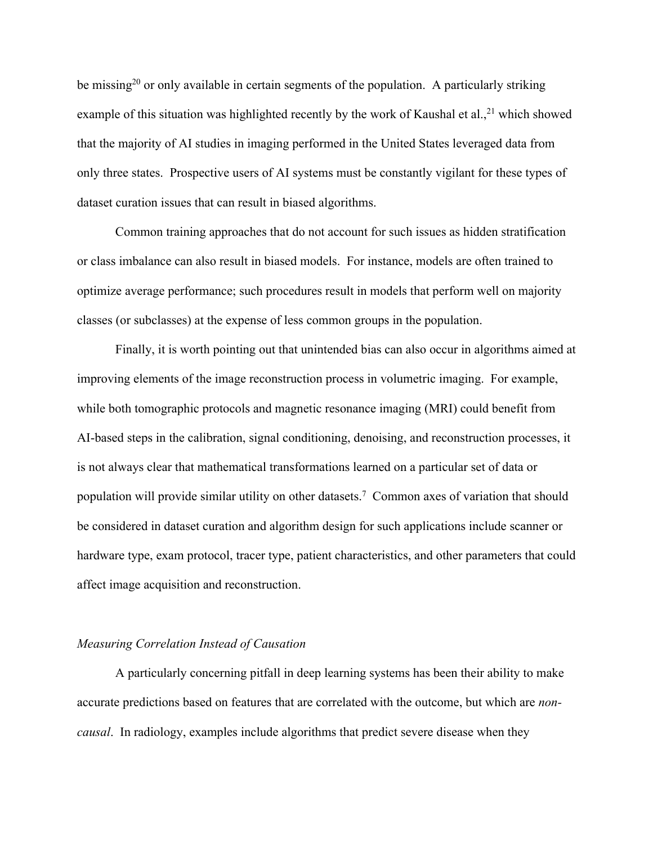be missing<sup>20</sup> or only available in certain segments of the population. A particularly striking example of this situation was highlighted recently by the work of Kaushal et al.,  $21$  which showed that the majority of AI studies in imaging performed in the United States leveraged data from only three states. Prospective users of AI systems must be constantly vigilant for these types of dataset curation issues that can result in biased algorithms.

Common training approaches that do not account for such issues as hidden stratification or class imbalance can also result in biased models. For instance, models are often trained to optimize average performance; such procedures result in models that perform well on majority classes (or subclasses) at the expense of less common groups in the population.

Finally, it is worth pointing out that unintended bias can also occur in algorithms aimed at improving elements of the image reconstruction process in volumetric imaging. For example, while both tomographic protocols and magnetic resonance imaging (MRI) could benefit from AI-based steps in the calibration, signal conditioning, denoising, and reconstruction processes, it is not always clear that mathematical transformations learned on a particular set of data or population will provide similar utility on other datasets. 7 Common axes of variation that should be considered in dataset curation and algorithm design for such applications include scanner or hardware type, exam protocol, tracer type, patient characteristics, and other parameters that could affect image acquisition and reconstruction.

### *Measuring Correlation Instead of Causation*

A particularly concerning pitfall in deep learning systems has been their ability to make accurate predictions based on features that are correlated with the outcome, but which are *noncausal*. In radiology, examples include algorithms that predict severe disease when they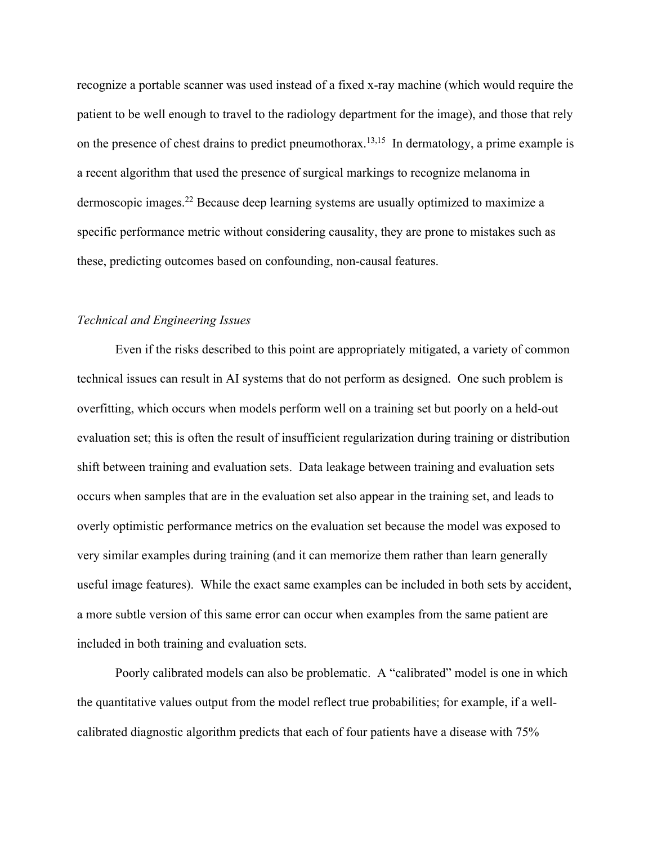recognize a portable scanner was used instead of a fixed x-ray machine (which would require the patient to be well enough to travel to the radiology department for the image), and those that rely on the presence of chest drains to predict pneumothorax.<sup>13,15</sup> In dermatology, a prime example is a recent algorithm that used the presence of surgical markings to recognize melanoma in dermoscopic images.<sup>22</sup> Because deep learning systems are usually optimized to maximize a specific performance metric without considering causality, they are prone to mistakes such as these, predicting outcomes based on confounding, non-causal features.

### *Technical and Engineering Issues*

Even if the risks described to this point are appropriately mitigated, a variety of common technical issues can result in AI systems that do not perform as designed. One such problem is overfitting, which occurs when models perform well on a training set but poorly on a held-out evaluation set; this is often the result of insufficient regularization during training or distribution shift between training and evaluation sets. Data leakage between training and evaluation sets occurs when samples that are in the evaluation set also appear in the training set, and leads to overly optimistic performance metrics on the evaluation set because the model was exposed to very similar examples during training (and it can memorize them rather than learn generally useful image features). While the exact same examples can be included in both sets by accident, a more subtle version of this same error can occur when examples from the same patient are included in both training and evaluation sets.

Poorly calibrated models can also be problematic. A "calibrated" model is one in which the quantitative values output from the model reflect true probabilities; for example, if a wellcalibrated diagnostic algorithm predicts that each of four patients have a disease with 75%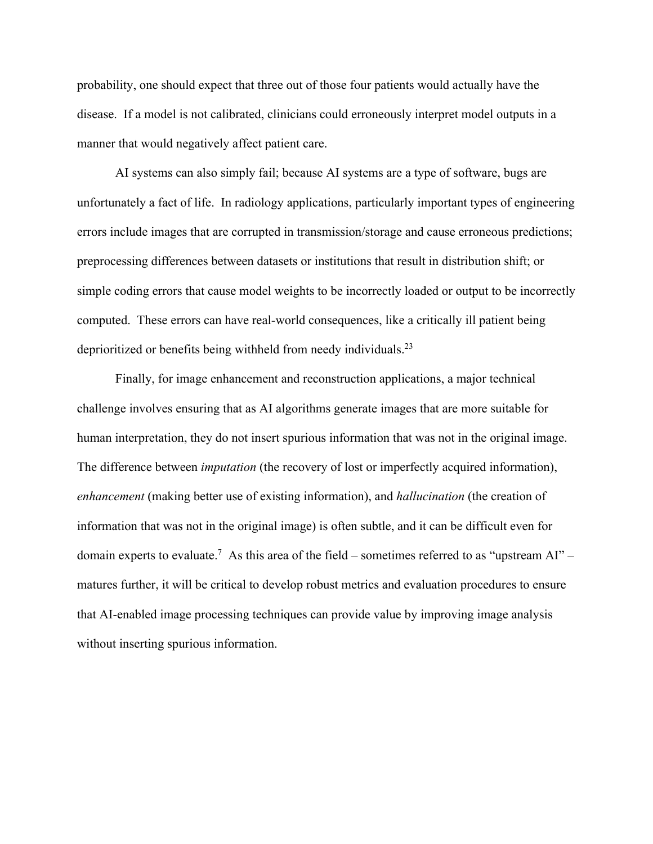probability, one should expect that three out of those four patients would actually have the disease. If a model is not calibrated, clinicians could erroneously interpret model outputs in a manner that would negatively affect patient care.

AI systems can also simply fail; because AI systems are a type of software, bugs are unfortunately a fact of life. In radiology applications, particularly important types of engineering errors include images that are corrupted in transmission/storage and cause erroneous predictions; preprocessing differences between datasets or institutions that result in distribution shift; or simple coding errors that cause model weights to be incorrectly loaded or output to be incorrectly computed. These errors can have real-world consequences, like a critically ill patient being deprioritized or benefits being withheld from needy individuals.<sup>23</sup>

Finally, for image enhancement and reconstruction applications, a major technical challenge involves ensuring that as AI algorithms generate images that are more suitable for human interpretation, they do not insert spurious information that was not in the original image. The difference between *imputation* (the recovery of lost or imperfectly acquired information), *enhancement* (making better use of existing information), and *hallucination* (the creation of information that was not in the original image) is often subtle, and it can be difficult even for domain experts to evaluate.<sup>7</sup> As this area of the field – sometimes referred to as "upstream AI" – matures further, it will be critical to develop robust metrics and evaluation procedures to ensure that AI-enabled image processing techniques can provide value by improving image analysis without inserting spurious information.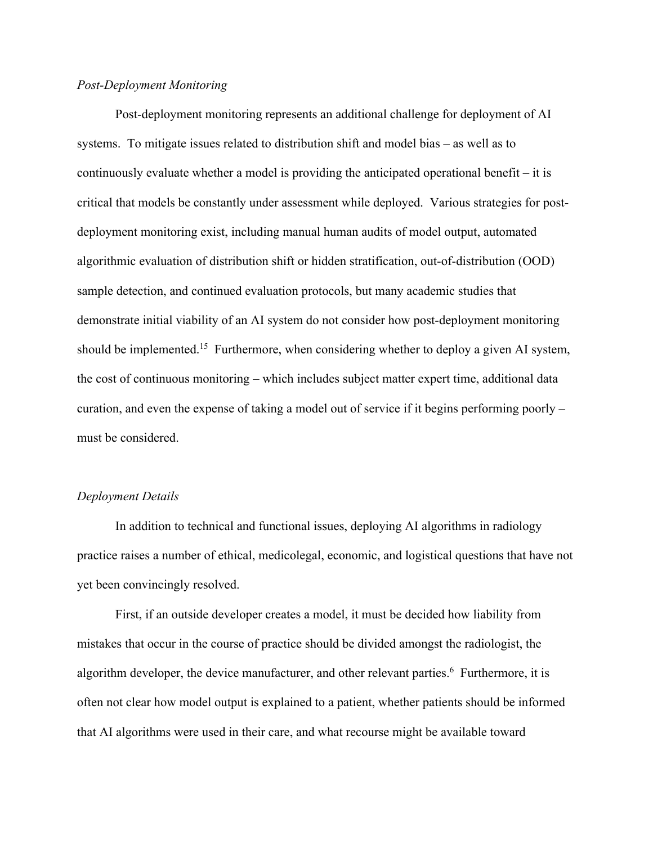## *Post-Deployment Monitoring*

Post-deployment monitoring represents an additional challenge for deployment of AI systems. To mitigate issues related to distribution shift and model bias – as well as to continuously evaluate whether a model is providing the anticipated operational benefit – it is critical that models be constantly under assessment while deployed. Various strategies for postdeployment monitoring exist, including manual human audits of model output, automated algorithmic evaluation of distribution shift or hidden stratification, out-of-distribution (OOD) sample detection, and continued evaluation protocols, but many academic studies that demonstrate initial viability of an AI system do not consider how post-deployment monitoring should be implemented.<sup>15</sup> Furthermore, when considering whether to deploy a given AI system, the cost of continuous monitoring – which includes subject matter expert time, additional data curation, and even the expense of taking a model out of service if it begins performing poorly – must be considered.

#### *Deployment Details*

In addition to technical and functional issues, deploying AI algorithms in radiology practice raises a number of ethical, medicolegal, economic, and logistical questions that have not yet been convincingly resolved.

First, if an outside developer creates a model, it must be decided how liability from mistakes that occur in the course of practice should be divided amongst the radiologist, the algorithm developer, the device manufacturer, and other relevant parties. 6 Furthermore, it is often not clear how model output is explained to a patient, whether patients should be informed that AI algorithms were used in their care, and what recourse might be available toward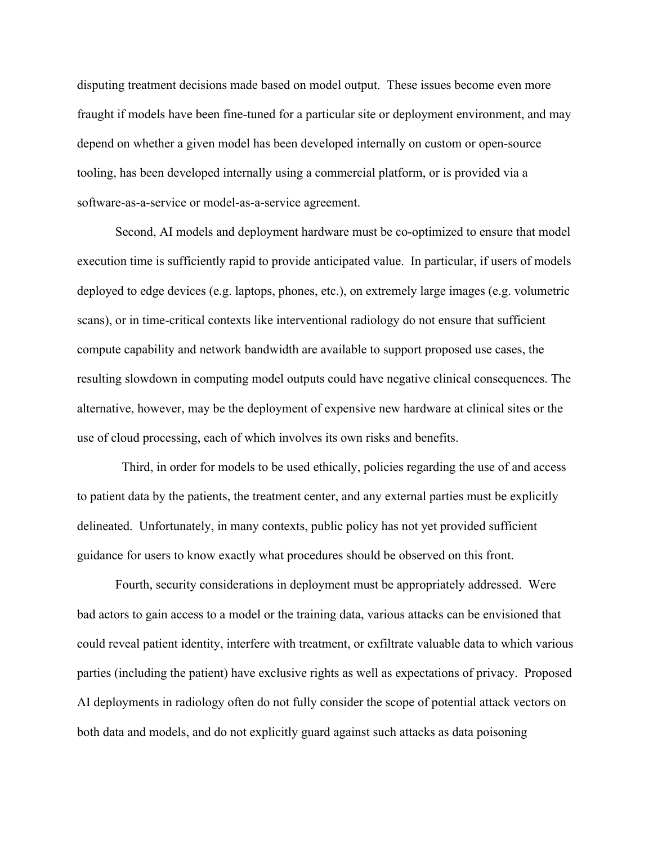disputing treatment decisions made based on model output. These issues become even more fraught if models have been fine-tuned for a particular site or deployment environment, and may depend on whether a given model has been developed internally on custom or open-source tooling, has been developed internally using a commercial platform, or is provided via a software-as-a-service or model-as-a-service agreement.

Second, AI models and deployment hardware must be co-optimized to ensure that model execution time is sufficiently rapid to provide anticipated value. In particular, if users of models deployed to edge devices (e.g. laptops, phones, etc.), on extremely large images (e.g. volumetric scans), or in time-critical contexts like interventional radiology do not ensure that sufficient compute capability and network bandwidth are available to support proposed use cases, the resulting slowdown in computing model outputs could have negative clinical consequences. The alternative, however, may be the deployment of expensive new hardware at clinical sites or the use of cloud processing, each of which involves its own risks and benefits.

Third, in order for models to be used ethically, policies regarding the use of and access to patient data by the patients, the treatment center, and any external parties must be explicitly delineated. Unfortunately, in many contexts, public policy has not yet provided sufficient guidance for users to know exactly what procedures should be observed on this front.

Fourth, security considerations in deployment must be appropriately addressed. Were bad actors to gain access to a model or the training data, various attacks can be envisioned that could reveal patient identity, interfere with treatment, or exfiltrate valuable data to which various parties (including the patient) have exclusive rights as well as expectations of privacy. Proposed AI deployments in radiology often do not fully consider the scope of potential attack vectors on both data and models, and do not explicitly guard against such attacks as data poisoning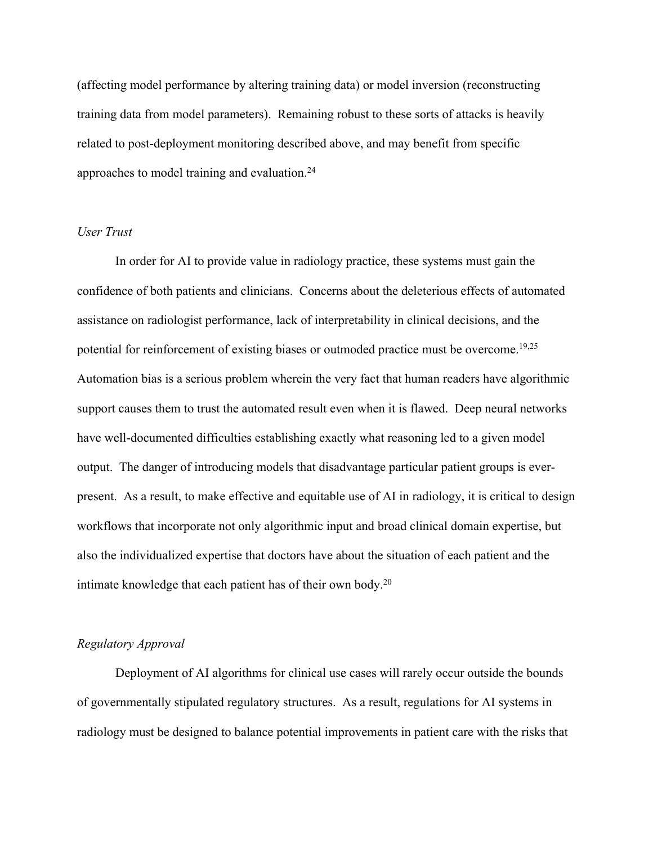(affecting model performance by altering training data) or model inversion (reconstructing training data from model parameters). Remaining robust to these sorts of attacks is heavily related to post-deployment monitoring described above, and may benefit from specific approaches to model training and evaluation.<sup>24</sup>

#### *User Trust*

In order for AI to provide value in radiology practice, these systems must gain the confidence of both patients and clinicians. Concerns about the deleterious effects of automated assistance on radiologist performance, lack of interpretability in clinical decisions, and the potential for reinforcement of existing biases or outmoded practice must be overcome.<sup>19,25</sup> Automation bias is a serious problem wherein the very fact that human readers have algorithmic support causes them to trust the automated result even when it is flawed. Deep neural networks have well-documented difficulties establishing exactly what reasoning led to a given model output. The danger of introducing models that disadvantage particular patient groups is everpresent. As a result, to make effective and equitable use of AI in radiology, it is critical to design workflows that incorporate not only algorithmic input and broad clinical domain expertise, but also the individualized expertise that doctors have about the situation of each patient and the intimate knowledge that each patient has of their own body.<sup>20</sup>

## *Regulatory Approval*

Deployment of AI algorithms for clinical use cases will rarely occur outside the bounds of governmentally stipulated regulatory structures. As a result, regulations for AI systems in radiology must be designed to balance potential improvements in patient care with the risks that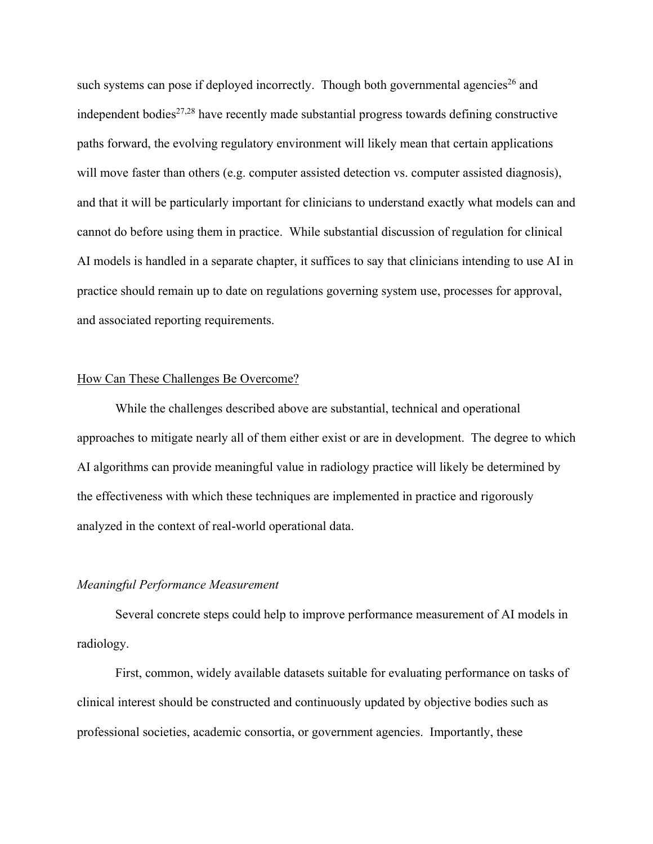such systems can pose if deployed incorrectly. Though both governmental agencies<sup>26</sup> and independent bodies<sup> $27,28$ </sup> have recently made substantial progress towards defining constructive paths forward, the evolving regulatory environment will likely mean that certain applications will move faster than others (e.g. computer assisted detection vs. computer assisted diagnosis), and that it will be particularly important for clinicians to understand exactly what models can and cannot do before using them in practice. While substantial discussion of regulation for clinical AI models is handled in a separate chapter, it suffices to say that clinicians intending to use AI in practice should remain up to date on regulations governing system use, processes for approval, and associated reporting requirements.

#### How Can These Challenges Be Overcome?

While the challenges described above are substantial, technical and operational approaches to mitigate nearly all of them either exist or are in development. The degree to which AI algorithms can provide meaningful value in radiology practice will likely be determined by the effectiveness with which these techniques are implemented in practice and rigorously analyzed in the context of real-world operational data.

#### *Meaningful Performance Measurement*

Several concrete steps could help to improve performance measurement of AI models in radiology.

First, common, widely available datasets suitable for evaluating performance on tasks of clinical interest should be constructed and continuously updated by objective bodies such as professional societies, academic consortia, or government agencies. Importantly, these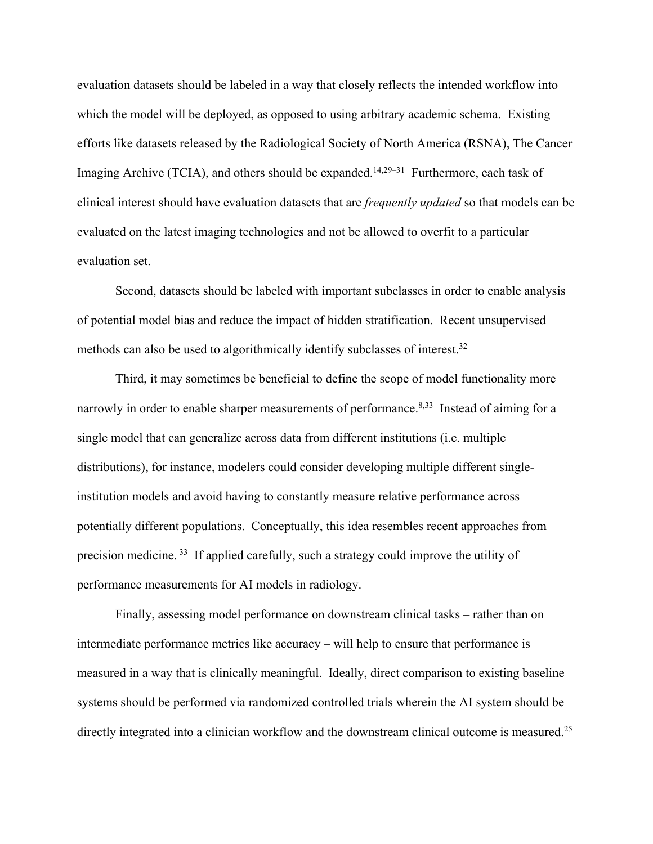evaluation datasets should be labeled in a way that closely reflects the intended workflow into which the model will be deployed, as opposed to using arbitrary academic schema. Existing efforts like datasets released by the Radiological Society of North America (RSNA), The Cancer Imaging Archive (TCIA), and others should be expanded.<sup>14,29–31</sup> Furthermore, each task of clinical interest should have evaluation datasets that are *frequently updated* so that models can be evaluated on the latest imaging technologies and not be allowed to overfit to a particular evaluation set.

Second, datasets should be labeled with important subclasses in order to enable analysis of potential model bias and reduce the impact of hidden stratification. Recent unsupervised methods can also be used to algorithmically identify subclasses of interest.<sup>32</sup>

Third, it may sometimes be beneficial to define the scope of model functionality more narrowly in order to enable sharper measurements of performance.<sup>8,33</sup> Instead of aiming for a single model that can generalize across data from different institutions (i.e. multiple distributions), for instance, modelers could consider developing multiple different singleinstitution models and avoid having to constantly measure relative performance across potentially different populations. Conceptually, this idea resembles recent approaches from precision medicine.<sup>33</sup> If applied carefully, such a strategy could improve the utility of performance measurements for AI models in radiology.

Finally, assessing model performance on downstream clinical tasks – rather than on intermediate performance metrics like accuracy – will help to ensure that performance is measured in a way that is clinically meaningful. Ideally, direct comparison to existing baseline systems should be performed via randomized controlled trials wherein the AI system should be directly integrated into a clinician workflow and the downstream clinical outcome is measured.<sup>25</sup>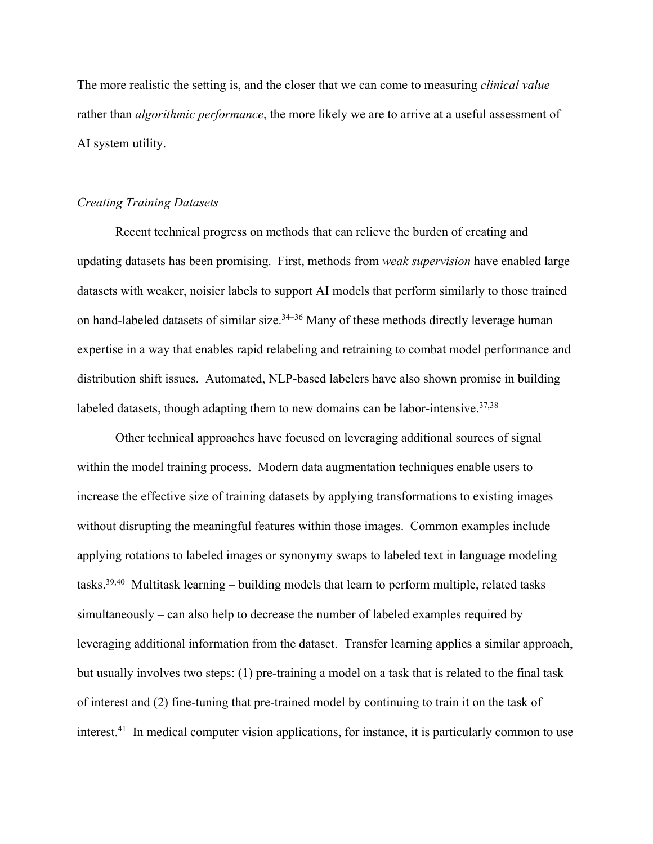The more realistic the setting is, and the closer that we can come to measuring *clinical value* rather than *algorithmic performance*, the more likely we are to arrive at a useful assessment of AI system utility.

### *Creating Training Datasets*

Recent technical progress on methods that can relieve the burden of creating and updating datasets has been promising. First, methods from *weak supervision* have enabled large datasets with weaker, noisier labels to support AI models that perform similarly to those trained on hand-labeled datasets of similar size. $34-36$  Many of these methods directly leverage human expertise in a way that enables rapid relabeling and retraining to combat model performance and distribution shift issues. Automated, NLP-based labelers have also shown promise in building labeled datasets, though adapting them to new domains can be labor-intensive. $37,38$ 

Other technical approaches have focused on leveraging additional sources of signal within the model training process. Modern data augmentation techniques enable users to increase the effective size of training datasets by applying transformations to existing images without disrupting the meaningful features within those images. Common examples include applying rotations to labeled images or synonymy swaps to labeled text in language modeling tasks.<sup>39,40</sup> Multitask learning – building models that learn to perform multiple, related tasks simultaneously – can also help to decrease the number of labeled examples required by leveraging additional information from the dataset. Transfer learning applies a similar approach, but usually involves two steps: (1) pre-training a model on a task that is related to the final task of interest and (2) fine-tuning that pre-trained model by continuing to train it on the task of interest.<sup>41</sup> In medical computer vision applications, for instance, it is particularly common to use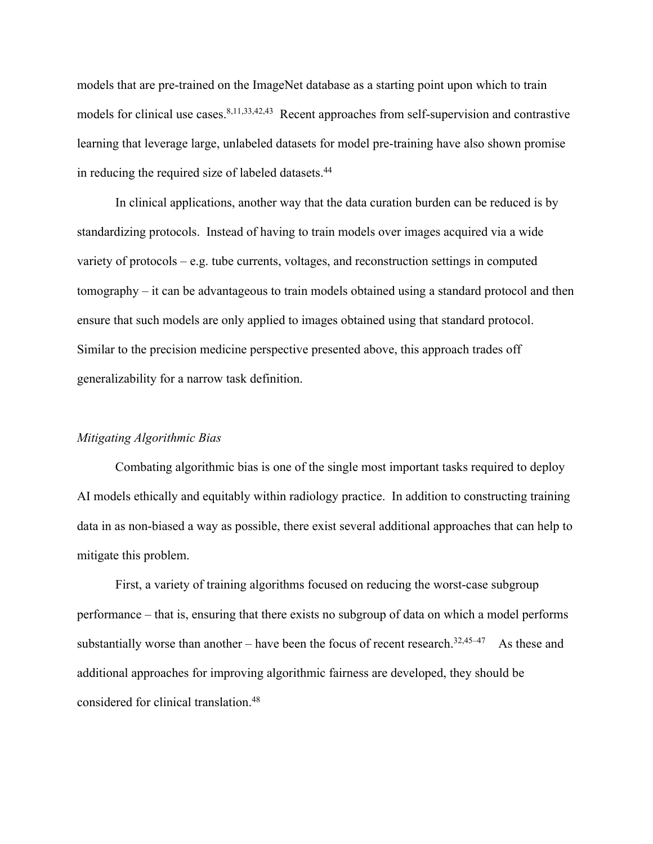models that are pre-trained on the ImageNet database as a starting point upon which to train models for clinical use cases.<sup>8,11,33,42,43</sup> Recent approaches from self-supervision and contrastive learning that leverage large, unlabeled datasets for model pre-training have also shown promise in reducing the required size of labeled datasets.<sup>44</sup>

In clinical applications, another way that the data curation burden can be reduced is by standardizing protocols. Instead of having to train models over images acquired via a wide variety of protocols – e.g. tube currents, voltages, and reconstruction settings in computed tomography – it can be advantageous to train models obtained using a standard protocol and then ensure that such models are only applied to images obtained using that standard protocol. Similar to the precision medicine perspective presented above, this approach trades off generalizability for a narrow task definition.

#### *Mitigating Algorithmic Bias*

Combating algorithmic bias is one of the single most important tasks required to deploy AI models ethically and equitably within radiology practice. In addition to constructing training data in as non-biased a way as possible, there exist several additional approaches that can help to mitigate this problem.

First, a variety of training algorithms focused on reducing the worst-case subgroup performance – that is, ensuring that there exists no subgroup of data on which a model performs substantially worse than another – have been the focus of recent research.<sup>32,45–47</sup> As these and additional approaches for improving algorithmic fairness are developed, they should be considered for clinical translation.48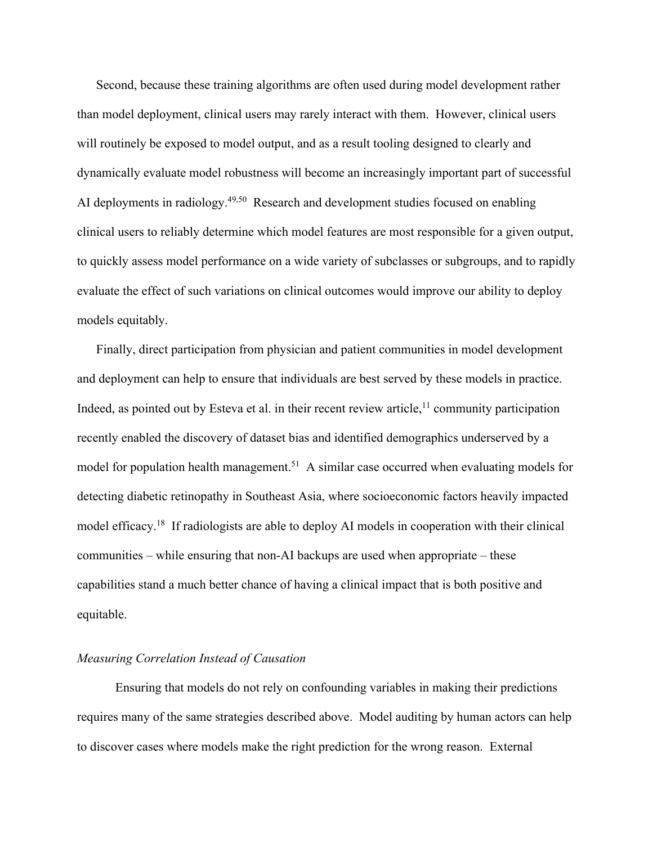Second, because these training algorithms are often used during model development rather than model deployment, clinical users may rarely interact with them. However, clinical users will routinely be exposed to model output, and as a result tooling designed to clearly and dynamically evaluate model robustness will become an increasingly important part of successful AI deployments in radiology.<sup>49,50</sup> Research and development studies focused on enabling clinical users to reliably determine which model features are most responsible for a given output, to quickly assess model performance on a wide variety of subclasses or subgroups, and to rapidly evaluate the effect of such variations on clinical outcomes would improve our ability to deploy models equitably.

Finally, direct participation from physician and patient communities in model development and deployment can help to ensure that individuals are best served by these models in practice. Indeed, as pointed out by Esteva et al. in their recent review article,<sup>11</sup> community participation recently enabled the discovery of dataset bias and identified demographics underserved by a model for population health management.<sup>51</sup> A similar case occurred when evaluating models for detecting diabetic retinopathy in Southeast Asia, where socioeconomic factors heavily impacted model efficacy.18 If radiologists are able to deploy AI models in cooperation with their clinical communities – while ensuring that non-AI backups are used when appropriate – these capabilities stand a much better chance of having a clinical impact that is both positive and equitable.

## *Measuring Correlation Instead of Causation*

Ensuring that models do not rely on confounding variables in making their predictions requires many of the same strategies described above. Model auditing by human actors can help to discover cases where models make the right prediction for the wrong reason. External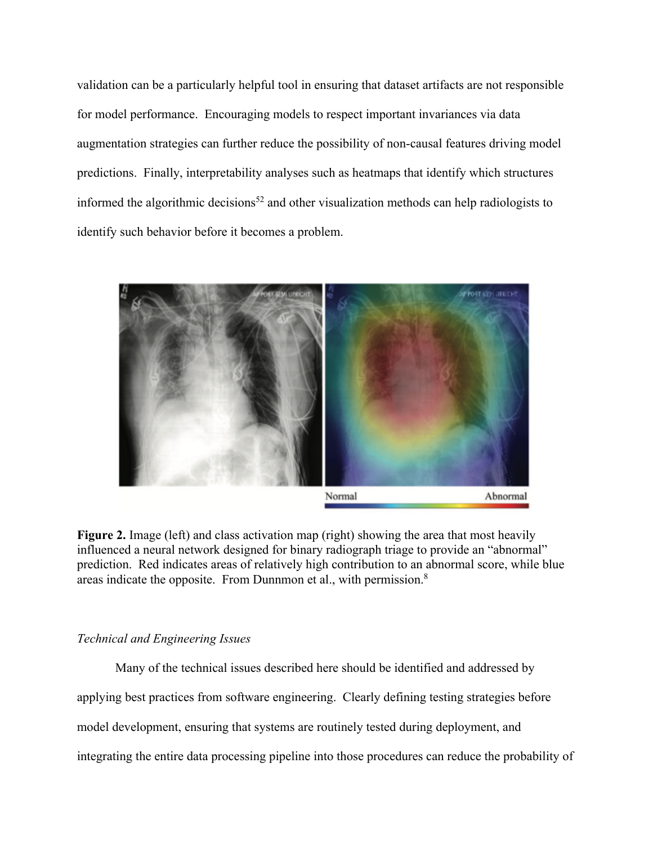validation can be a particularly helpful tool in ensuring that dataset artifacts are not responsible for model performance. Encouraging models to respect important invariances via data augmentation strategies can further reduce the possibility of non-causal features driving model predictions. Finally, interpretability analyses such as heatmaps that identify which structures informed the algorithmic decisions<sup>52</sup> and other visualization methods can help radiologists to identify such behavior before it becomes a problem.



**Figure 2.** Image (left) and class activation map (right) showing the area that most heavily influenced a neural network designed for binary radiograph triage to provide an "abnormal" prediction. Red indicates areas of relatively high contribution to an abnormal score, while blue areas indicate the opposite. From Dunnmon et al., with permission.8

### *Technical and Engineering Issues*

Many of the technical issues described here should be identified and addressed by applying best practices from software engineering. Clearly defining testing strategies before model development, ensuring that systems are routinely tested during deployment, and integrating the entire data processing pipeline into those procedures can reduce the probability of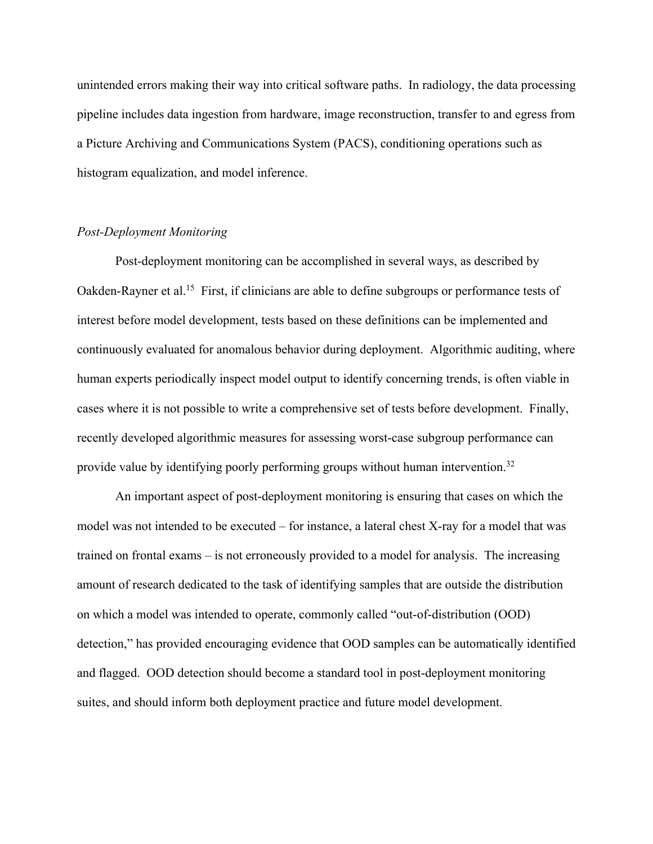unintended errors making their way into critical software paths. In radiology, the data processing pipeline includes data ingestion from hardware, image reconstruction, transfer to and egress from a Picture Archiving and Communications System (PACS), conditioning operations such as histogram equalization, and model inference.

### *Post-Deployment Monitoring*

Post-deployment monitoring can be accomplished in several ways, as described by Oakden-Rayner et al.<sup>15</sup> First, if clinicians are able to define subgroups or performance tests of interest before model development, tests based on these definitions can be implemented and continuously evaluated for anomalous behavior during deployment. Algorithmic auditing, where human experts periodically inspect model output to identify concerning trends, is often viable in cases where it is not possible to write a comprehensive set of tests before development. Finally, recently developed algorithmic measures for assessing worst-case subgroup performance can provide value by identifying poorly performing groups without human intervention.32

An important aspect of post-deployment monitoring is ensuring that cases on which the model was not intended to be executed – for instance, a lateral chest X-ray for a model that was trained on frontal exams – is not erroneously provided to a model for analysis. The increasing amount of research dedicated to the task of identifying samples that are outside the distribution on which a model was intended to operate, commonly called "out-of-distribution (OOD) detection," has provided encouraging evidence that OOD samples can be automatically identified and flagged. OOD detection should become a standard tool in post-deployment monitoring suites, and should inform both deployment practice and future model development.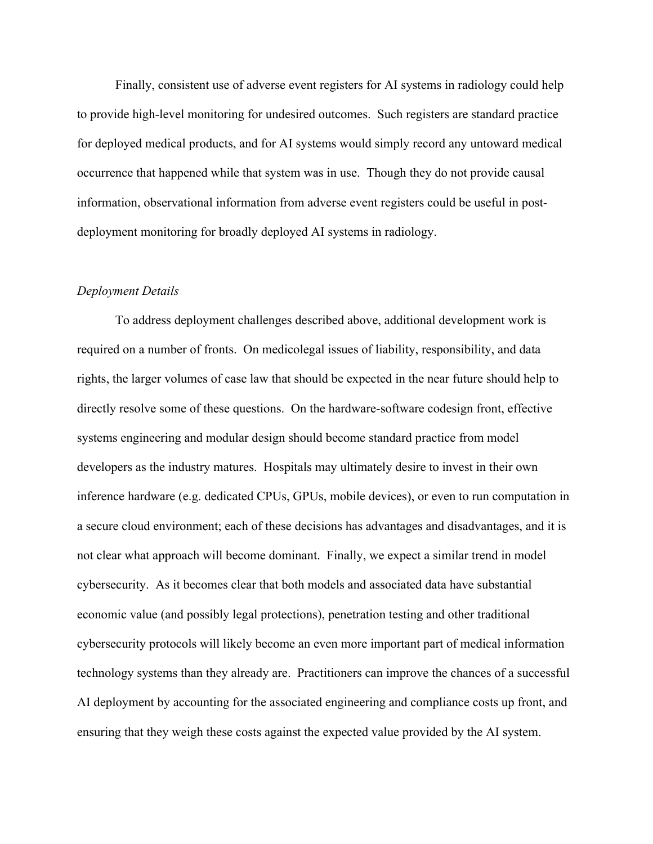Finally, consistent use of adverse event registers for AI systems in radiology could help to provide high-level monitoring for undesired outcomes. Such registers are standard practice for deployed medical products, and for AI systems would simply record any untoward medical occurrence that happened while that system was in use. Though they do not provide causal information, observational information from adverse event registers could be useful in postdeployment monitoring for broadly deployed AI systems in radiology.

### *Deployment Details*

To address deployment challenges described above, additional development work is required on a number of fronts. On medicolegal issues of liability, responsibility, and data rights, the larger volumes of case law that should be expected in the near future should help to directly resolve some of these questions. On the hardware-software codesign front, effective systems engineering and modular design should become standard practice from model developers as the industry matures. Hospitals may ultimately desire to invest in their own inference hardware (e.g. dedicated CPUs, GPUs, mobile devices), or even to run computation in a secure cloud environment; each of these decisions has advantages and disadvantages, and it is not clear what approach will become dominant. Finally, we expect a similar trend in model cybersecurity. As it becomes clear that both models and associated data have substantial economic value (and possibly legal protections), penetration testing and other traditional cybersecurity protocols will likely become an even more important part of medical information technology systems than they already are. Practitioners can improve the chances of a successful AI deployment by accounting for the associated engineering and compliance costs up front, and ensuring that they weigh these costs against the expected value provided by the AI system.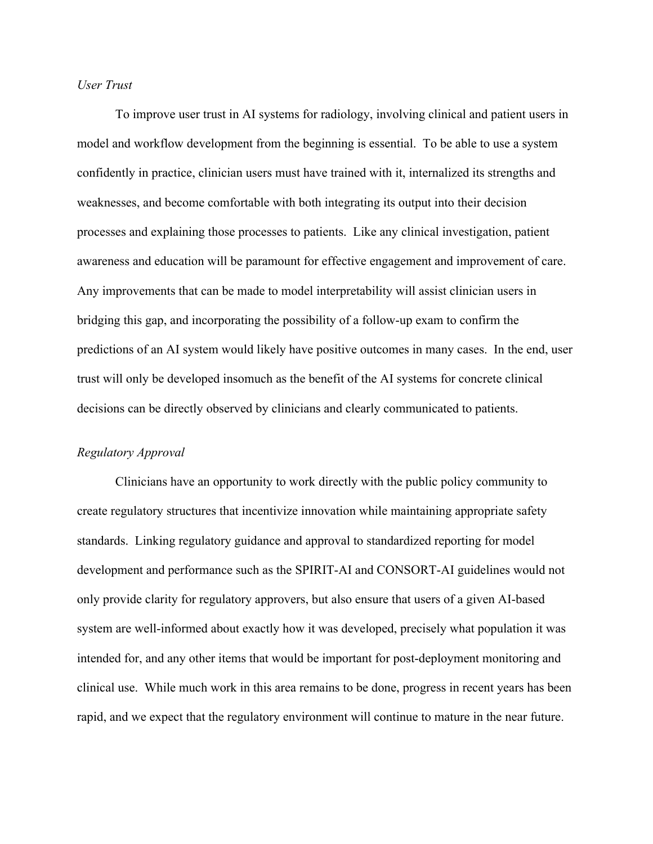### *User Trust*

To improve user trust in AI systems for radiology, involving clinical and patient users in model and workflow development from the beginning is essential. To be able to use a system confidently in practice, clinician users must have trained with it, internalized its strengths and weaknesses, and become comfortable with both integrating its output into their decision processes and explaining those processes to patients. Like any clinical investigation, patient awareness and education will be paramount for effective engagement and improvement of care. Any improvements that can be made to model interpretability will assist clinician users in bridging this gap, and incorporating the possibility of a follow-up exam to confirm the predictions of an AI system would likely have positive outcomes in many cases. In the end, user trust will only be developed insomuch as the benefit of the AI systems for concrete clinical decisions can be directly observed by clinicians and clearly communicated to patients.

#### *Regulatory Approval*

Clinicians have an opportunity to work directly with the public policy community to create regulatory structures that incentivize innovation while maintaining appropriate safety standards. Linking regulatory guidance and approval to standardized reporting for model development and performance such as the SPIRIT-AI and CONSORT-AI guidelines would not only provide clarity for regulatory approvers, but also ensure that users of a given AI-based system are well-informed about exactly how it was developed, precisely what population it was intended for, and any other items that would be important for post-deployment monitoring and clinical use. While much work in this area remains to be done, progress in recent years has been rapid, and we expect that the regulatory environment will continue to mature in the near future.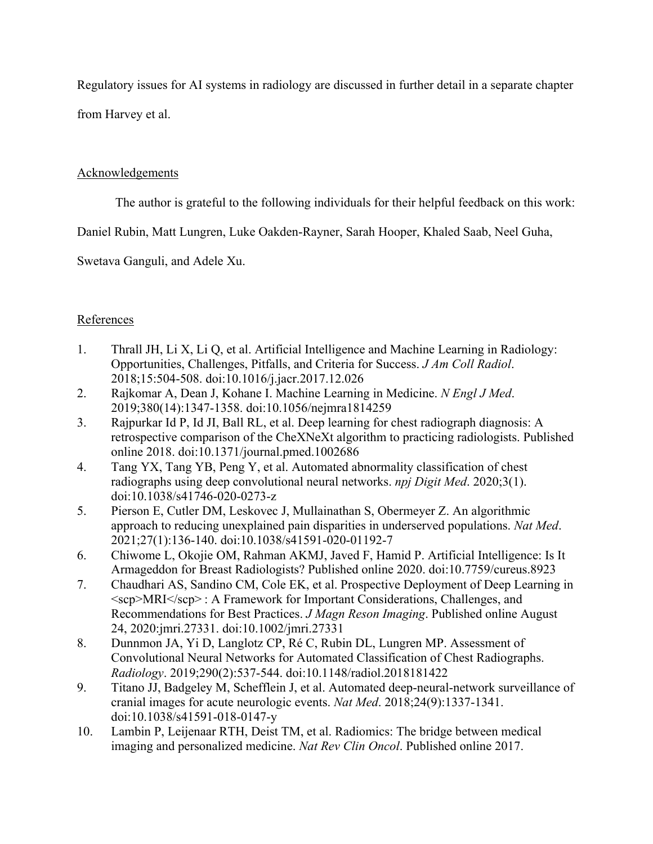Regulatory issues for AI systems in radiology are discussed in further detail in a separate chapter from Harvey et al.

## Acknowledgements

The author is grateful to the following individuals for their helpful feedback on this work:

Daniel Rubin, Matt Lungren, Luke Oakden-Rayner, Sarah Hooper, Khaled Saab, Neel Guha,

Swetava Ganguli, and Adele Xu.

# References

- 1. Thrall JH, Li X, Li Q, et al. Artificial Intelligence and Machine Learning in Radiology: Opportunities, Challenges, Pitfalls, and Criteria for Success. *J Am Coll Radiol*. 2018;15:504-508. doi:10.1016/j.jacr.2017.12.026
- 2. Rajkomar A, Dean J, Kohane I. Machine Learning in Medicine. *N Engl J Med*. 2019;380(14):1347-1358. doi:10.1056/nejmra1814259
- 3. Rajpurkar Id P, Id JI, Ball RL, et al. Deep learning for chest radiograph diagnosis: A retrospective comparison of the CheXNeXt algorithm to practicing radiologists. Published online 2018. doi:10.1371/journal.pmed.1002686
- 4. Tang YX, Tang YB, Peng Y, et al. Automated abnormality classification of chest radiographs using deep convolutional neural networks. *npj Digit Med*. 2020;3(1). doi:10.1038/s41746-020-0273-z
- 5. Pierson E, Cutler DM, Leskovec J, Mullainathan S, Obermeyer Z. An algorithmic approach to reducing unexplained pain disparities in underserved populations. *Nat Med*. 2021;27(1):136-140. doi:10.1038/s41591-020-01192-7
- 6. Chiwome L, Okojie OM, Rahman AKMJ, Javed F, Hamid P. Artificial Intelligence: Is It Armageddon for Breast Radiologists? Published online 2020. doi:10.7759/cureus.8923
- 7. Chaudhari AS, Sandino CM, Cole EK, et al. Prospective Deployment of Deep Learning in <scp>MRI</scp> : A Framework for Important Considerations, Challenges, and Recommendations for Best Practices. *J Magn Reson Imaging*. Published online August 24, 2020:jmri.27331. doi:10.1002/jmri.27331
- 8. Dunnmon JA, Yi D, Langlotz CP, Ré C, Rubin DL, Lungren MP. Assessment of Convolutional Neural Networks for Automated Classification of Chest Radiographs. *Radiology*. 2019;290(2):537-544. doi:10.1148/radiol.2018181422
- 9. Titano JJ, Badgeley M, Schefflein J, et al. Automated deep-neural-network surveillance of cranial images for acute neurologic events. *Nat Med*. 2018;24(9):1337-1341. doi:10.1038/s41591-018-0147-y
- 10. Lambin P, Leijenaar RTH, Deist TM, et al. Radiomics: The bridge between medical imaging and personalized medicine. *Nat Rev Clin Oncol*. Published online 2017.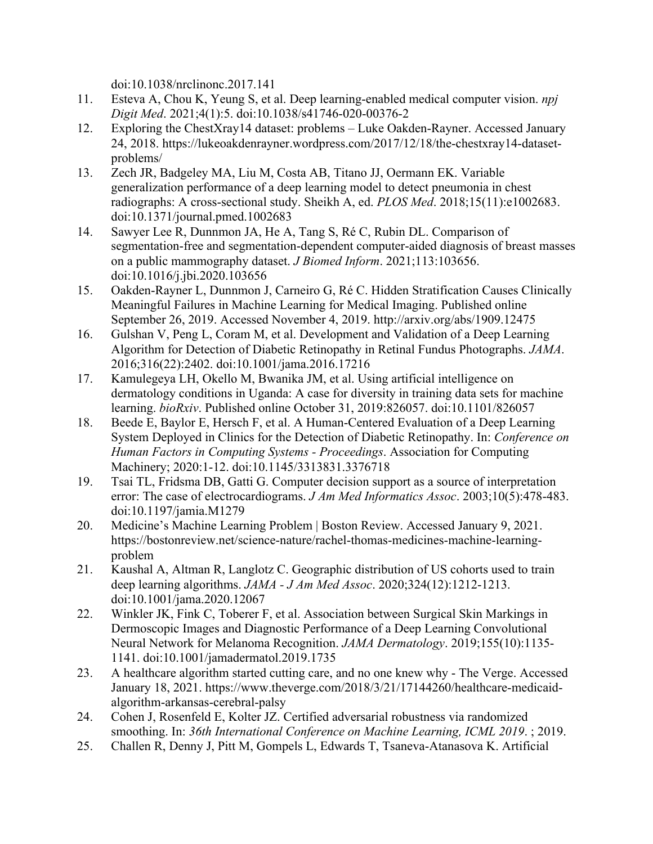doi:10.1038/nrclinonc.2017.141

- 11. Esteva A, Chou K, Yeung S, et al. Deep learning-enabled medical computer vision. *npj Digit Med*. 2021;4(1):5. doi:10.1038/s41746-020-00376-2
- 12. Exploring the ChestXray14 dataset: problems Luke Oakden-Rayner. Accessed January 24, 2018. https://lukeoakdenrayner.wordpress.com/2017/12/18/the-chestxray14-datasetproblems/
- 13. Zech JR, Badgeley MA, Liu M, Costa AB, Titano JJ, Oermann EK. Variable generalization performance of a deep learning model to detect pneumonia in chest radiographs: A cross-sectional study. Sheikh A, ed. *PLOS Med*. 2018;15(11):e1002683. doi:10.1371/journal.pmed.1002683
- 14. Sawyer Lee R, Dunnmon JA, He A, Tang S, Ré C, Rubin DL. Comparison of segmentation-free and segmentation-dependent computer-aided diagnosis of breast masses on a public mammography dataset. *J Biomed Inform*. 2021;113:103656. doi:10.1016/j.jbi.2020.103656
- 15. Oakden-Rayner L, Dunnmon J, Carneiro G, Ré C. Hidden Stratification Causes Clinically Meaningful Failures in Machine Learning for Medical Imaging. Published online September 26, 2019. Accessed November 4, 2019. http://arxiv.org/abs/1909.12475
- 16. Gulshan V, Peng L, Coram M, et al. Development and Validation of a Deep Learning Algorithm for Detection of Diabetic Retinopathy in Retinal Fundus Photographs. *JAMA*. 2016;316(22):2402. doi:10.1001/jama.2016.17216
- 17. Kamulegeya LH, Okello M, Bwanika JM, et al. Using artificial intelligence on dermatology conditions in Uganda: A case for diversity in training data sets for machine learning. *bioRxiv*. Published online October 31, 2019:826057. doi:10.1101/826057
- 18. Beede E, Baylor E, Hersch F, et al. A Human-Centered Evaluation of a Deep Learning System Deployed in Clinics for the Detection of Diabetic Retinopathy. In: *Conference on Human Factors in Computing Systems - Proceedings*. Association for Computing Machinery; 2020:1-12. doi:10.1145/3313831.3376718
- 19. Tsai TL, Fridsma DB, Gatti G. Computer decision support as a source of interpretation error: The case of electrocardiograms. *J Am Med Informatics Assoc*. 2003;10(5):478-483. doi:10.1197/jamia.M1279
- 20. Medicine's Machine Learning Problem | Boston Review. Accessed January 9, 2021. https://bostonreview.net/science-nature/rachel-thomas-medicines-machine-learningproblem
- 21. Kaushal A, Altman R, Langlotz C. Geographic distribution of US cohorts used to train deep learning algorithms. *JAMA - J Am Med Assoc*. 2020;324(12):1212-1213. doi:10.1001/jama.2020.12067
- 22. Winkler JK, Fink C, Toberer F, et al. Association between Surgical Skin Markings in Dermoscopic Images and Diagnostic Performance of a Deep Learning Convolutional Neural Network for Melanoma Recognition. *JAMA Dermatology*. 2019;155(10):1135- 1141. doi:10.1001/jamadermatol.2019.1735
- 23. A healthcare algorithm started cutting care, and no one knew why The Verge. Accessed January 18, 2021. https://www.theverge.com/2018/3/21/17144260/healthcare-medicaidalgorithm-arkansas-cerebral-palsy
- 24. Cohen J, Rosenfeld E, Kolter JZ. Certified adversarial robustness via randomized smoothing. In: *36th International Conference on Machine Learning, ICML 2019*. ; 2019.
- 25. Challen R, Denny J, Pitt M, Gompels L, Edwards T, Tsaneva-Atanasova K. Artificial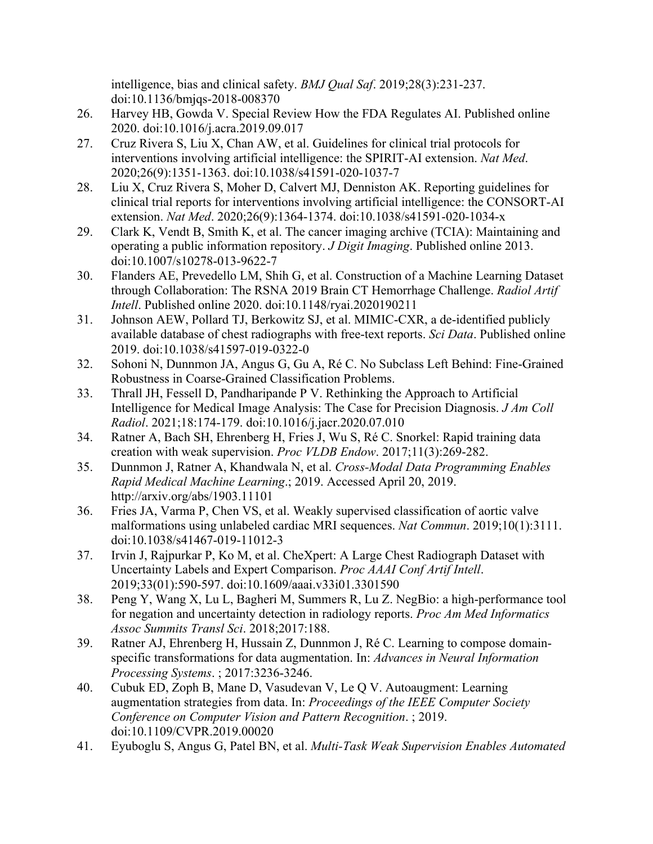intelligence, bias and clinical safety. *BMJ Qual Saf*. 2019;28(3):231-237. doi:10.1136/bmjqs-2018-008370

- 26. Harvey HB, Gowda V. Special Review How the FDA Regulates AI. Published online 2020. doi:10.1016/j.acra.2019.09.017
- 27. Cruz Rivera S, Liu X, Chan AW, et al. Guidelines for clinical trial protocols for interventions involving artificial intelligence: the SPIRIT-AI extension. *Nat Med*. 2020;26(9):1351-1363. doi:10.1038/s41591-020-1037-7
- 28. Liu X, Cruz Rivera S, Moher D, Calvert MJ, Denniston AK. Reporting guidelines for clinical trial reports for interventions involving artificial intelligence: the CONSORT-AI extension. *Nat Med*. 2020;26(9):1364-1374. doi:10.1038/s41591-020-1034-x
- 29. Clark K, Vendt B, Smith K, et al. The cancer imaging archive (TCIA): Maintaining and operating a public information repository. *J Digit Imaging*. Published online 2013. doi:10.1007/s10278-013-9622-7
- 30. Flanders AE, Prevedello LM, Shih G, et al. Construction of a Machine Learning Dataset through Collaboration: The RSNA 2019 Brain CT Hemorrhage Challenge. *Radiol Artif Intell*. Published online 2020. doi:10.1148/ryai.2020190211
- 31. Johnson AEW, Pollard TJ, Berkowitz SJ, et al. MIMIC-CXR, a de-identified publicly available database of chest radiographs with free-text reports. *Sci Data*. Published online 2019. doi:10.1038/s41597-019-0322-0
- 32. Sohoni N, Dunnmon JA, Angus G, Gu A, Ré C. No Subclass Left Behind: Fine-Grained Robustness in Coarse-Grained Classification Problems.
- 33. Thrall JH, Fessell D, Pandharipande P V. Rethinking the Approach to Artificial Intelligence for Medical Image Analysis: The Case for Precision Diagnosis. *J Am Coll Radiol*. 2021;18:174-179. doi:10.1016/j.jacr.2020.07.010
- 34. Ratner A, Bach SH, Ehrenberg H, Fries J, Wu S, Ré C. Snorkel: Rapid training data creation with weak supervision. *Proc VLDB Endow*. 2017;11(3):269-282.
- 35. Dunnmon J, Ratner A, Khandwala N, et al. *Cross-Modal Data Programming Enables Rapid Medical Machine Learning*.; 2019. Accessed April 20, 2019. http://arxiv.org/abs/1903.11101
- 36. Fries JA, Varma P, Chen VS, et al. Weakly supervised classification of aortic valve malformations using unlabeled cardiac MRI sequences. *Nat Commun*. 2019;10(1):3111. doi:10.1038/s41467-019-11012-3
- 37. Irvin J, Rajpurkar P, Ko M, et al. CheXpert: A Large Chest Radiograph Dataset with Uncertainty Labels and Expert Comparison. *Proc AAAI Conf Artif Intell*. 2019;33(01):590-597. doi:10.1609/aaai.v33i01.3301590
- 38. Peng Y, Wang X, Lu L, Bagheri M, Summers R, Lu Z. NegBio: a high-performance tool for negation and uncertainty detection in radiology reports. *Proc Am Med Informatics Assoc Summits Transl Sci*. 2018;2017:188.
- 39. Ratner AJ, Ehrenberg H, Hussain Z, Dunnmon J, Ré C. Learning to compose domainspecific transformations for data augmentation. In: *Advances in Neural Information Processing Systems*. ; 2017:3236-3246.
- 40. Cubuk ED, Zoph B, Mane D, Vasudevan V, Le Q V. Autoaugment: Learning augmentation strategies from data. In: *Proceedings of the IEEE Computer Society Conference on Computer Vision and Pattern Recognition*. ; 2019. doi:10.1109/CVPR.2019.00020
- 41. Eyuboglu S, Angus G, Patel BN, et al. *Multi-Task Weak Supervision Enables Automated*